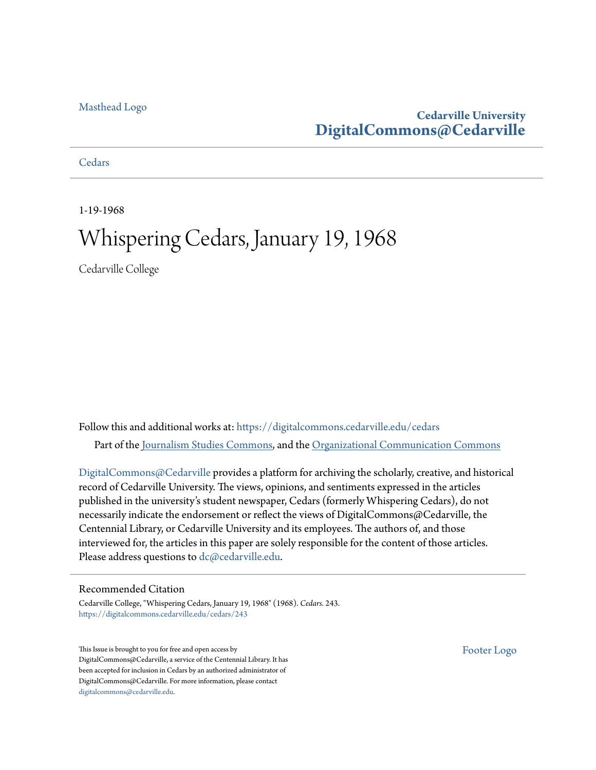#### [Masthead Logo](http://www.cedarville.edu/?utm_source=digitalcommons.cedarville.edu%2Fcedars%2F243&utm_medium=PDF&utm_campaign=PDFCoverPages)

#### **Cedarville University [DigitalCommons@Cedarville](https://digitalcommons.cedarville.edu?utm_source=digitalcommons.cedarville.edu%2Fcedars%2F243&utm_medium=PDF&utm_campaign=PDFCoverPages)**

**[Cedars](https://digitalcommons.cedarville.edu/cedars?utm_source=digitalcommons.cedarville.edu%2Fcedars%2F243&utm_medium=PDF&utm_campaign=PDFCoverPages)** 

1-19-1968

## Whispering Cedars, January 19, 1968

Cedarville College

Follow this and additional works at: [https://digitalcommons.cedarville.edu/cedars](https://digitalcommons.cedarville.edu/cedars?utm_source=digitalcommons.cedarville.edu%2Fcedars%2F243&utm_medium=PDF&utm_campaign=PDFCoverPages) Part of the [Journalism Studies Commons](http://network.bepress.com/hgg/discipline/333?utm_source=digitalcommons.cedarville.edu%2Fcedars%2F243&utm_medium=PDF&utm_campaign=PDFCoverPages), and the [Organizational Communication Commons](http://network.bepress.com/hgg/discipline/335?utm_source=digitalcommons.cedarville.edu%2Fcedars%2F243&utm_medium=PDF&utm_campaign=PDFCoverPages)

[DigitalCommons@Cedarville](http://digitalcommons.cedarville.edu/) provides a platform for archiving the scholarly, creative, and historical record of Cedarville University. The views, opinions, and sentiments expressed in the articles published in the university's student newspaper, Cedars (formerly Whispering Cedars), do not necessarily indicate the endorsement or reflect the views of DigitalCommons@Cedarville, the Centennial Library, or Cedarville University and its employees. The authors of, and those interviewed for, the articles in this paper are solely responsible for the content of those articles. Please address questions to [dc@cedarville.edu.](mailto:dc@cedarville.edu)

#### Recommended Citation

Cedarville College, "Whispering Cedars, January 19, 1968" (1968). *Cedars*. 243. [https://digitalcommons.cedarville.edu/cedars/243](https://digitalcommons.cedarville.edu/cedars/243?utm_source=digitalcommons.cedarville.edu%2Fcedars%2F243&utm_medium=PDF&utm_campaign=PDFCoverPages)

This Issue is brought to you for free and open access by DigitalCommons@Cedarville, a service of the Centennial Library. It has been accepted for inclusion in Cedars by an authorized administrator of DigitalCommons@Cedarville. For more information, please contact [digitalcommons@cedarville.edu](mailto:digitalcommons@cedarville.edu).

[Footer Logo](http://www.cedarville.edu/Academics/Library.aspx?utm_source=digitalcommons.cedarville.edu%2Fcedars%2F243&utm_medium=PDF&utm_campaign=PDFCoverPages)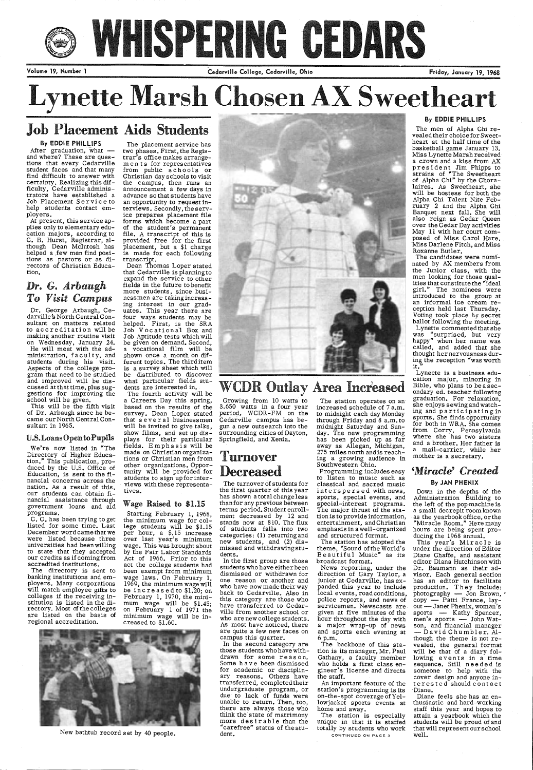# WHISPERING GEDARS

Volume 19, Number 1 **Cedarville College, Cedarville, Ohio** Friday, January 19, 1968

## **Lynette Marsh Chosen A Sweetheart**

## Job Placement Aids Students

#### By EDDIE PHILLIPS

After graduation, what  $$ and where? These are questions that every Cedarville student faces and that many find difficult to answer with certainty. Realizing this difficulty, Cedarville administrators have established a Job Placement Service to help students contact employers.

At present, this service applies only to elementary education majors, according to C. B. Hurst, Registrar, although Dean Mcintosh has helped a few men find positions as pastors or as directors of Christian Education.

### *Dr. G. Arbaugh To Visit Campus*

Dr. George Arbaugh, Cedarville's North Central Consultant on matters related to accreditation will be making another routine visit on Wednesday, January 24. He will meet with the administration, faculty, and students during his visit. Aspects of the college program that need to be studied and improved will be discussed at that time, plus suggestions for improving the school will be given.

This will be the fifth visit of Dr. Arbaugh since he became our North Central Consultant in 1965.

#### U.S. Loans Open to Pupils

We're now listed in "The Directory of Higher Education." This publication, produced by the U.S. Office of Education, is sent to the financial concerns across the nation. As a result of this, our students can obtain financial assistance through government loans and aid programs.

C. C. has been trying to ge<sup>t</sup> listed for some time. Last December word came that we were listed because three universities had been willing to state that they accepted our credits as if comingfrom accredited institutions.

The directory is sent to banking institutions and employers. Many corporations will match employee gifts to colleges if the receiving institution is listed in the directory. Most of the colleges are listed on the basis of regional accreditation.

The placement service has two phases. First, the Registrar's office makes arrangements for representatives from public schools or Christian day schools to visit the campus, then runs an announcement a few days in advance so that students have an opportunity to request interviews. Secondly, the service prepares placement file forms which become a part of the student's permanent file. A transcript of this is provided free for the first placement, but a \$1 charge is made for each following transcript.

Dean Thomas Loper stated that Cedarville is planning to expand the service to other fields in the future to benefit more students, since businessmen are takingincreasing interest in our graduates. This year there are four ways students may be helped. First, is the SRA Job Vocational Box and Job Aptitude tests which will be given on demand. Second, a vocational film will be shown once a month on different topics. The third item is <sup>a</sup>survey sheet which will be distributed to discover what particular fields students are interested in.

> The station operates on an<sup>-</sup> increased schedule of 7 a.m. to midnight each day Monday through Friday and 8 a.m. to midnight Saturday and Sunday. The new programming has been picked up as far away as Allegan, Michigan, 275 miles north and is reaching a growing audience in Southwestern Ohio.

 The fourth activity will be a Careers Day this spring, based on the results of the survey. Dean Loper stated that several businessmen will be invited to give talks, show films, and set up displays for their particular fields. Emphasis will be made on Christian organizations or Christian men from other organizations. Opportunity will be provided for students to sign upforinterviews with these representatives.

#### Wage Raised to \$1.15

Starting February 1, 1968, the minimum wage for college students will be \$1.15 per hour, a \$.15 increase over last year's minimum wage. This was brought about by the Fair Labor Standards Act of 1966. Prior to this act the college students had been exempt from minimum wage laws. On February 1, 1969, the minimum wage will be increased to *\$1.20;* on February 1, 1970, the minimum wage will be \$1.45; on February 1 of 1971 the minimum wage will be increased to \$1.60.



## WCDR Outlay Area Increased

The candidates were nominated by AX members from the Junior class, with the men looking for those qualities that constitute the "ideal girl." The nominees were introduced to the group at an informal ice cream reception held last Thursday. Voting took place by secret ballot following the meeting. Lynette commented that she was "surprised, but very happy" when her name was called, and added that she thought her nervousness during the reception "was worth it."



New bathtub record set by 40 people.

Growing from 10 watts to 3,650 watts in a four year period, WCDR-FM on the Cedarville campus has begun a new outsearch into the surrounding cities of Dayton, Springfield, and Xenia.

## Turnover Decreased

The turnover of students for the first quarter of this year has shown a total change less than for any previous between terms period. Student enrollment decreased by 12 and stands now at 810. The flux of students falls into two categories: (1) returning and new students, and (2) dismissed and withdrawingstudents.

This year's Miracle is under the direction of Editor Diane Chaffe, and assistant editor Diana Hutchinson with Dr. Baumann as their advisor. Each general section has an editor to facilitate<br>production. They include:  $\frac{1}{2}$ photography  $\frac{1}{2}$  Jon Brown,  $\frac{1}{2}$ copy — Patti France, lay-<br>out — Janet Phenix,woman's sports — Kathy Spencer, men's sports --- John Watson, and financial manager David Chumbler. Although the theme is not revealed, the general format will be that of a diary following events in a time sequence. Still needed is someone to help with the cover design and anyone inter es t e d should contact ·Diane. Diane feels she has an enthusiastic and hard-working staff this year and hopes to attain a yearbook which the students will be proud of and that will represent our school well.

 In the first group are those students who have either been dismissed or withdrawn for one reason or another and who have now made their way back to Cedarville. Also in this category are those who have transferred to Cedarville from another school or who are new college students. As most have noticed, there are quite a few new faces on campus this quarter. In the second category are those students who have withdrawn for some reason. Some h ave been dismissed for academic or disciplinary reasons. Others have transferred, completed their undergraduate program, or due to lack of funds were unable to return. Then, too, there are always those who think the state of matrimony more desirable than the "carefree" status of the student.

Programming includes easy to listen to music such as classical and sacred music interspersed with news, sports, special events, and special-interest programs. The major thrust of the station is to provide information, entertainment, and Christian emphasis in a well-organized and structured format.

The station has adopted the theme, "Sound of the World's Beautiful Music" as its broadcast format.

News reporting, under the direction of Gary Taylor, <sup>a</sup> junior at Cedarville, has expanded this year to include local events, road conditions, police reports, and news of servicemen. Newscasts are given at five minutes of the hour throughout the day with <sup>a</sup>major wrap-up of news and sports each evening at 6 p.m. The backbone of this station is its manager, Mr. Paul Gathany, a faculty member who holds a first class engineer's license and directs the staff. An important feature of the station's programming is its on-the-spot coverage ofYellowjacket sports events at home and away.

The station is especially unique in that it is staffed totally by students who work

CONTINUED ON PAGE 3

#### By EDDIE PHILLIPS

The men of Alpha Chi revealed their choice for Sweetheart at the half time of the basketball game January 13. Miss Lynette Marsh received a crown and a kiss from AX president Jim Phipps to<br>strains of "The Sweetheart of Alpha Chi" by the Choralaires. As Sweetheart, she will be hostess for both the Alpha Chi Talent Nite February 2 and the Alpha Chi Banquet next fall. She will also reign as Cedar Queen over the Cedar Day activities May 11 with her court composed of Miss Carol Hare, Miss Darlene Fitch, and Miss Roxanne Butler.

Lyneete is a business education major, minoring in Bible, who plans to beasecondary ed. teacher following graduation. For relaxation, she enjoys sewing and watching and participating in sports. She finds opportunity for both in WRA. She comes from Corry, Pennsylvania where she has two sisters and a brother. Her father is <sup>a</sup>mail-carrier, while her mother is a secretary.

## *'Miracle' Created*

#### By JAN PHENIX

Down in the depths of the Administration Building to the left of the pop machine is <sup>a</sup>small decrepit room known as the yearbook office, or the "Miracle Room." Here many hours are being spent producing the 1968 annual.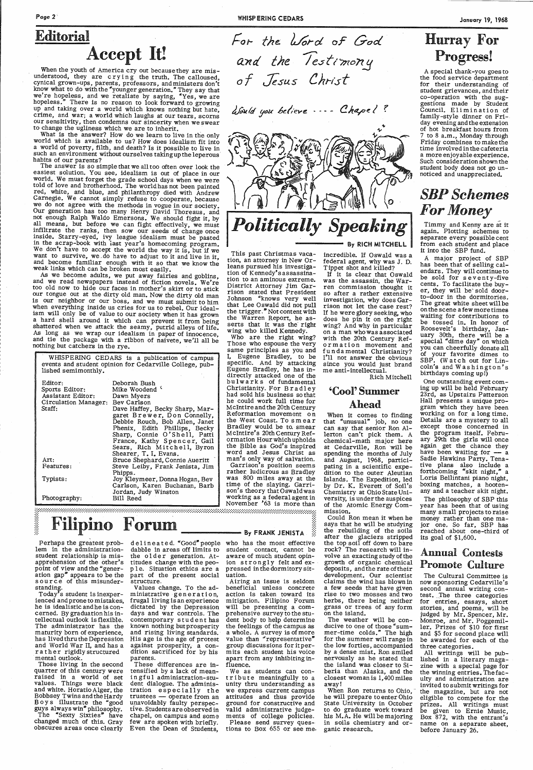## Page 2'

When the youth of America cry out becausethey are misunderstood, they are crying the truth. The calloused, cynical grown-ups, parents, professors, and ministers don't know what to do with the "younger generation." They say that we're hopeless, and we retaliate by saying, "Yes, we are hopeless." There is no reason to look forward to growing up and taking over a world which knows nothing but hate, crime, and war; a world which laughs at our tears, scorns our sensitivity, then condemns our sincerity when we swear to change the ugliness which we are to inherit.

What is the answer? How do we learn to live in the only world which is available to us? How does idealism fit into a world of poverty, filth, and death? Is it possible to live in such an environment without ourselves taking up the leperous habits of our parents?

## Editorial Accept It!

The answer is so simple that we all too often over look the easiest solution. You see, idealism is out of place in our world. We must forget the grade school days when we were told of love and brotherhood. The world has not been painted red, white, and blue, and philanthropy died with Andrew Carnegie. We cannot simply refuse to cooperate, because we do not agree with the methods in vogue in our society. Our generation has too many Henry David Thoreaus, and not enough Ralph Waldo Emersons. We should fight it, by all means, but before we can fight effectively, we must infiltrate the ranks, then sow our seeds of change once inside. Starry-eyed, ivy league idealism must be pasted in the scrap-book with iast year's homecoming program. We don't have to accept the world the way it is, but if we want to survive, we \_do have to adjust to it and live in it, and become familiar enough with it so that we know the weak links which can be broken most easily.

As we become adults, we put away fairies and goblins, and we read newspapers instead of fiction novels. We're too old now to hide our faces in mother's skirt or to stick our tongue out at the dirty old man. Now the dirty old man is our neighbor or our boss, and we must submit to him when everything inside us cries for us to rebel. Our idealism will only be of value to our society when it has grown a hard shell around it which can prevent it from being shattered when we attack the seamy, putrid alleys of life. As long as we wrap our idealism in paper of innocence, and tie the package with a ribbon of naivete, we'll all be nothing but catchers in the rye.

| WHISPERING CEDARS is a publication of campus<br>events and student opinion for Cedarville College, pub-<br>lished semimonthly. |                                                                                                |
|--------------------------------------------------------------------------------------------------------------------------------|------------------------------------------------------------------------------------------------|
| Editor:<br>Sports Editor:<br>Assistant Editor:<br>Circulation Manager: Bev Carlson<br>Staff:                                   | Deborah Bush<br>Mike Woodend <sup>{</sup><br>Dawn Myers<br>Dave Haffey, Becky Sharp, Mar-      |
|                                                                                                                                | garet Brewer, Don Connelly,<br>Debbie Rouch, Bob Allen, Janet<br>Phenix, Edith Phillips, Becky |
|                                                                                                                                | Sharp, Connie O'Shell, Patti<br>France, Kathy Spencer, Gail                                    |
|                                                                                                                                | Sears, Rich Mitchell, Byron<br>Shearer, T. I. Evans.                                           |
| Art:                                                                                                                           | Bruce Shephard, Connie Aueritt                                                                 |
| Features:                                                                                                                      | Steve Leiby, Frank Jenista, Jim                                                                |
| Typists:                                                                                                                       | Phipps.<br>Joy Kleymeer, Donna Hogan, Bev<br>Carlson, Karen Buchanan, Barb                     |
| Photography:                                                                                                                   | Jordan, Judy Winston<br>Bill Reed                                                              |

## Filipino Forum

Perhaps the greatest prob- delineated. "Good" people who has the most effective lem in the administrationstudent relationship is mispoint of view and the "generation gap" appears to be the source of this misunder-

#### standing.

医皮肤炎

Today's student is inexperienced and prone to mistakes, he is idealistic and he is concerned. By graduation his intellectual outlook is flexible. The administrator has the maturity born of experience, has lived thru the Depression and World War II, and has a rather rigidly structured mental outlook.

apprehension of the other's titudes change with the peodabble in areas off limits to the older generation. Atple. Situation ethics are a part of the present social structure.

- By FRANK JENISTA

Those living in the second quarter of this century were raised in a world of set values. Things were black and white. Horatio Alger, the Bobbsey Twins and the Hardy B o y s illustrate the "good guys always win" philosophy. The "Sexty Sixties" have changed much of this. Gray obscures areas once clearly

Values change. To the administrative gen er at ion, frugal living is an experience dictated by the Depression days and war controls. The contemporary student has known nothing butprosperity and rising living standards. His age is the age of protest against prosperity, a condition sacrificed for by his parents.

> When Ron returns to Ohio, he will prepare to enter Ohio State University in October to do graduate work toward his M.A. He will be majoring in soils chemistry and organic research.

These differences are intensified by a lack of meaningful administration-student dialogue. The administration especially the  $t$ rustees  $-$  operate from an upavoidably faulty perspective. Studentsareobserved in chapel, on campus and some few are spoken with briefly. Even the Dean of Students,

For the *Word* of God

*Jesus* Chrlsf

Would you believe .... Chapel?

the lestimony

*Politically Speaking* 

This past Christmas vacation, an attorney in New Orleans pursued his investigation of Kennedy's assassination to an aminous extreme. District Attorney Jim Garrison stated that President Johnson "knows very well that Lee Oswald did not pull the trigger.'' Not content with the Warren Report, he asserts that it was the right wing who killed Kennedy.

Who are the right wing? Those who espouse the very same principles as you and I, Eugene Bradley, to be specific. And by attacking Eugene Bradley, he has indirectly attacked one of the bu l w a r k s of fundamental Christianity. For Bradley had sold his business so that he could work full time for Mcintire and the 20th Century Reformation movement on the West Coast. To smear Bradley would be to. smear Mcintire's 20th Century Reformation Hour which upholds the Bible as God's inspired word and Jesus Christ as man's only way of salvation.

Garrison's position seems rather. ludicrous as Bradley was 800 miles away at the time of the slaying. Garrison's theory that Oswald was working as a federal agent in November '63 is more than

student contact, cannot be aware of much student opinion strongly felt and expressed in the dormitory sit-uation.

Airing an issue is seldom beneficial unless concrete action is taken toward its mitigation. Filipino Forum will be presenting a comprehensive survey to the student body to help determine the feelings of the campus as a whole. A survey is of more value than "representative" group discussions for it perm its each student his voice apart from any inhibiting influence. We as students can contribute meaningfully to a unity thru understanding as we express current campus attitudes and thus provide ground for constructive and valid administrative judgements of college policies. Please send survey questions to Box 655 or see me. By RICH MITCHELL

incredible. If Oswald was a federal agent, why was J. D. Tippet shot and killed? If it is clear that Oswald was the assassin, the Warren commission thought it so after a rather extensive investigation, why does Gar-rison not let the case rest? If he were glory seeking, who does he pin it on the right wing? And why in particular on a man who was associated with the 20th Century Reformation movement and fundamental Christianity? I'll not answer the obvious since you would just brand

me anti-intellectual.

Rich Mitchell

'Cool' Summer

Ahead When it comes to finding that "unusual" job, no one can say that senior Ron Allerton can't pick them. A chemical-math major here at Cedarville, Ron will be spending the months of July and August, 1968, participating in a scientific expedition to the outer Aleutian Islands. The Expedition, led by Dr. K. Everett of Soil's Chemistry at Ohio State University, is under the auspices of the Atomic Energy Com-

mission.

Could Ron mean it when he says that he will be studying the rebuilding of the soils after the glaciers stripped the top soil off down to bare rock? The research will involve an exacting study of the growth of organic chemical deposits, and the rate of their development. Our scientist claims the wind has blown in

a few seeds that have given rise to two mosses and two herbs, there being neither grass or trees of any form on the island.

The weather will be conducive to one of those "summer-time colds." The high for the summer will range in the low forties, accompanied by a dense mist. Ron smiled nervously as he stated that the island was closer to Siberia than Alaska, and the closest woman is 1,400 miles away!

## Hurray For Progress!

A special thank-you goes to the food service department for their understanding of student grievances, and their co-operation with the suggestions made by Student Council. Elimination of family-style dinner on Friday evening and the extension of hot breakfast hours from to 8 a.m., Monday through Friday combines to make the time involved in the cafeteria a more enjoyable experience. Such consideration shown the student body does not go unnoticed and unappreciated.

## *SBPSchemes For Money*

Timmy and Kenny are at it again. Plotting schemes to separate every possible cent from each student and place it into the SBP fund.

A major project of SBP has been that of selling calendars. They will continue to be sold for seventy-five cents. To facilitate the buyer, they will be' sold doorto-door in the dormitories. The great white sheet will be on the scene a few more times waiting for contributions to be tossed in. In honor of Roosevelt's birthday, January 30th, there will be a special "dime day" on which you can cheerfully donate all of your favorite dimes to SBP. (Watch out for Lincoln's and Washington's birthdays coming up!)

One outstanding event coming up will be held February 23rd, as Upstairs Patterson Hall presents a unique program which they have been working on for a long time. Details are a mystery to all except those concerned in the program itself. February 29th the girls will once again get the chance they have been waiting for  $-$  a Sadie Hawkins Party. Tenative plans also include a forthcoming "skit night," a Loris Bellintani piano night, boxing matches, a hootenany and a teacher skit night.

The philosophy of SBP this year has been that of using many small projects to raise money rather than one major one. So far, SBP has reached about one-third of its goal of \$1,600.

#### Annual Contests Promote Culture

The Cultural Committee is now sponsoring Cedarville's

second annual writing contest. The three categories for entries, essays, short stories, and poems, will be judged by Mr. Spencer, Mr. Monroe, and Mr. Poggemiller. Prizes of \$10 for first and \$5 for second place will be awarded for each of the three categories.

All writings will be published in a literary magazine with a special page for the winning entries. Thefaculty and administration are invited to submit writings for the magazine, but are not eligible to compete for the prizes. All writings must be given to Ernie Music, Box 872, with the entrant's name on a separate sheet, before January 26.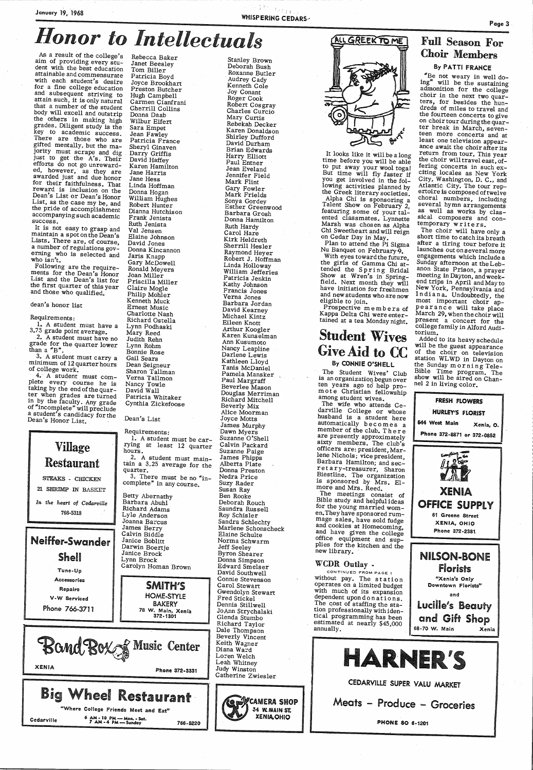## January 19, 1968 WHISPERING CEDARS,·

As a result of the college's<br>aim of providing every stu-<br>dent with the best education<br>attainable and commensurate<br>with each student's desire<br>for a fine college education<br>and subsequent striving to<br>attain such, it is only n jority must scrape and dig<br>just to get the A's. Their<br>efforts do not go unreward-<br>ed, however, as they are<br>awarded just and due honor<br>for their faithfulness. That<br>reward is inclusion on the<br>Dean's List or Dean's Honor<br>List success.

It is not easy to grasp and maintain a spot on the Dean's<br>Lists. There are, of course,<br>a number of regulations governing who is selected and who isn't.

Following are the requirements for the Dean's Honor<br>List and the Dean's list for<br>the first quarter of this year<br>and those who qualified.

#### dean's honor list

Requirements:<br>1. A student must have a

3.75 grade point average.<br>2. A student must have no grade for the quarter lower than a "B".

3. A student must carry a minimum of 12 quarter hours<br>of college work.<br> $-4$ . A student must com-<br>plete every course he is

4. A student must complete every course he is<br>taking by the end of the quar-<br>ter when grades are turned<br>in by the faculty. Any grade<br>of "incomplete" will preclude a student's candidacy forthe<br>Dean's Honor List.

> Requirements: 1. A student must be car rying at least 12 quarter hours. 2. A student must main tain a 3.25 average for the quarter. 3. There must be no "incomplete" in any course. Betty Abernathy

Barbara Abuhl Richard Adams Lyle Anderson Joanna Barcus James Berry Calvin Biddle Janice Boblitt Darwin Boertje Janice Brock Janice Brock Lynn Brock Carolyn Homan Brown



 Jennifer Field Mark Flint Gary Fowler Mark Frields Sonya Gordey Sonya Gordey<br>Esther Greenwood Barbara Grosh Donna Hamilton Ruth Hardy Carol Hare Kirk Heldreth Sherrill Hesler Raymond Heyer Robert J. Hoffman<br>Linda Holloway Linda Holloway<br>William Jefferies Patricia Jenkin Kathy Johnson<br>Francis Jones Verna Jones Barbara Jordan David Kearney Michael Kintz Eileen Knott Arthur Koogler Karen Kunselman Ann Kusumoto Nancy Leapline Nancy Leapline<br>Darlene Lewis Kathleen Lloyd Tanis McDaniel Pamela Mansker Paul Margraff Beverlee Mason Douglas Merriman Richard Mitchell Beverly Mix Alice Moorman Joyce Motts James Murphy<br>Dawn Myers Suzanne O'Shell Calvin Packard Suzanne Paige<br>James Phipps Alberta Plate Donna Preston Nedra Price Suzy Rader Susan Ray Ben Rooke Deborah Rouch Saundra Russell Roy Schisler Sandra Schlechty Marlene Schonscheck Elaine Schulte Norma Schwarm Jeff Seeley Byron Shearer Edward Smelser David Southwell Connie Stevenson Carol Stewart Fred Stickel Dennis Stillwell Glenda Stumbo



Rebecca Baker Janet Beesley Tom Biller Patricia Boyd Joyce Brookhart Preston Butcher Hugh Campbell<br>Carmen Cianfrani Cherrill Collins Donna Daab Wilbur Eifert Sara Empet<br>Jean Fawley<br>Patricia France Sheryl Ginaven Darry Griffis David Haffey<br>Karen Hamilton Jane Harris Jane Hess Linda Hoffman Donna Hogan<br>William Hughes<br>Robert Hunter Dianna Hutchison Frank Jenista Ruth Jenista Val Jensen Elaine Johnson David Jones Donna Kincannon Jaris Knapp Gary McDowell Ronald Meyers Joan Miller Priscilla Miller Claire Mogle Philip Mohler Kenneth Muck Ernest Music Charlotte Nash Richard Ostella Lynn Podhaski Mary Reed Judith Rehn Lynn Rohm Bonnie Rose Gail Sears Dean Seigneur Sharon Tallman Verna Tallmon Nancy Towle David Wall Patricia Whitaker Cynthia Zickefoose

It looks like it will be a long time before you will be able to put away your wool toga! But time will fly faster if you get involved in the fol-<br>lowing activities planned by the Greek literary societies.<br>Alpha Chi is sponsoring a<br>Talent Show on February 2,<br>featuring some of your tal-<br>ented classmates. Lynnette<br>Marsh was chosen as Alpha<br>Chi Sweetheart and will reign<br>on Cedar Day in May.<br>Plan to

Show at Wren's in Spring-<br>field. Next month they will have initiation for freshmen<br>and new students who are now<br>eligible to join. Prospective in embers of<br>Kappa Delta Chi were enter-

#### Dean's List

The wife who attends Ce-<br>darville College or whose husband is a student here<br>automatically becomes a automatically becomes a<br>member of the club. There are presently approximately sixty members. The club's officers are: president, Mar-<br>lene Nichols; vice president, Barbara Hamilton; and sec-<br>retary-treasurer, Sharon Biestline. The organization is sponsored by Mrs. Elmore and Mrs. Reed.

The meetings consist of Bible study and helpful ideas for the young married women. They have sponsored rumand cookies at Homecoming, and have given the college office equipment and supplies for the kitchen and the new library.

Stanley Brown Deborah Bush Roxanne Butler , Audrey Cady Kenneth Cole Joy Conant Roger Cook Robert Cosgray Charles Curcio Mary Curtis Rebekah Decker Karen Donaldson Shirley Dufford David Durham Brian Edwards Harry Elliott Paul Entner Jean Eveland

> Added to its heavy schedule will be the guest appearance<br>of the choir on television<br>station WLWD in Dayton on the Sunday morning Tele-<br>Bible Time program. The show will be aired on Channel 2 in living-color.

Repairs V • W Serviced Phone 7 66-3711 SMITH'S HOME-STYLE BAKERY 78 W. Main, Xenia 372-1301 Bond Box & Music Center XENIA Phone 372-3331 Big Wheel Restaurant "Where College Friends Meet and Eat" Cedarville 6 AM-10 PM-Mon.-Sat.<br>7 AM-4 PM-Sunday 766-5220 Gwendolyn Stewart<br>Fred Stickel JoAnn Strychalski<br>Glenda Stumbo Richard Taylor Dale Thompson Beverly Vincent Keith Wagner Diana Ward Loren Welch Leah Whitney Judy Winston Catherine Zwiesler CAMERA SHOP 34 WMAIN ST. XENIA.OHIO operates on a limited budget<br>with much of its expansion<br>dependent upon don at ions.<br>The cost of staffing the sta-<br>tion professionally with iden-<br>tical programming has been<br>estimated at nearly \$45,000<br>annually. and Lucille's Beauty and Gift Shop 68-70 W. Main Xenia HARNER'S CEDARVILLE SUPER YALU MARKET Meats – Produce – Groceries PHONE SO 6·1201

tained at a tea Monday night.

## Student Wives Give Aid to CC

#### By CONNIE O'SHELL

The Student Wives' Club is an organization begun over<br>ten years ago to help pro-<br>mote Christian fellowship<br>among student wives.

#### WCDR Outlay -

CONTINUED FROM PAGE 1 without pay. The station

## **Honor to Intellectuals**

#### Full Season For Choir Members By PATTI FRANCE

"Be not weary in well do-<br>ing" will be the sustaining<br>admonition for the college<br>choir in the next two quar-<br>ters, for besides the hun-<br>dreds of miles to travel and the fourteen concerts to give<br>on choir tour during the quar-<br>ter break in March, seven-<br>teen more concerts and at<br>least one television appearance await the choir after its return from tour. This year the choir will travel east, of-<br>fering concerts in such ex-<br>citing locales as New York city, Washington, D. C., and<br>Atlantic City. The tour rep-<br>ertoire is composed of twelve<br>choral numbers, including<br>several hymn arrangements<br>as well as works by clasas well as works by clas-<br>sical composers and contemporary writers.<br>The choir will have only a

short time to catch its breath<br>after a tiring tour before it<br>launches outons everal more<br>engagements which include a launches out on several more Sunday afternoon at the Leb-<br>anon State Prison, a prayer meeting in Dayton, and week-<br>end trips in April and May to<br>New York, Pennsylvania and<br>In di an a. Undoubtedly, the<br>most important choir ap-<br>pearance will take place<br>March 29, when the choir will present a concert for the college family in Alford Audi-<br>torium.